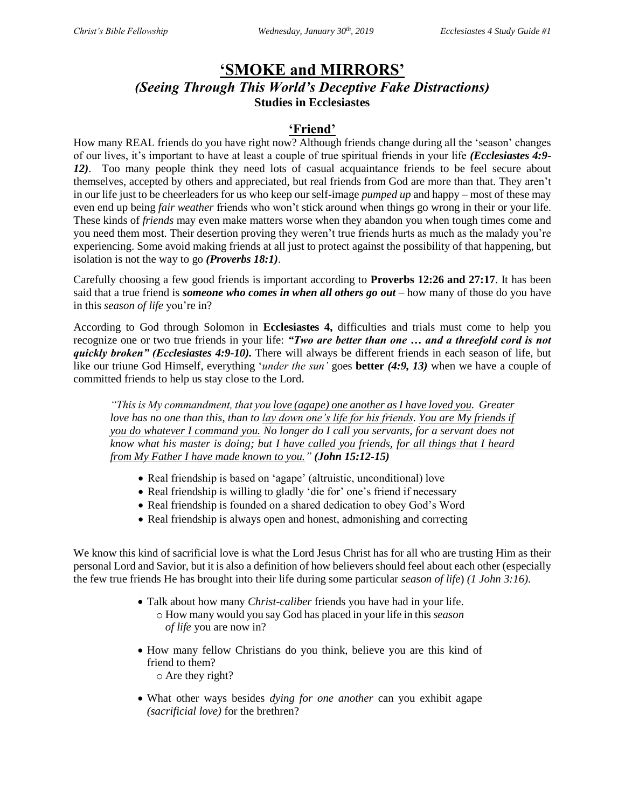## **'SMOKE and MIRRORS'** *(Seeing Through This World's Deceptive Fake Distractions)* **Studies in Ecclesiastes**

### **'Friend'**

How many REAL friends do you have right now? Although friends change during all the 'season' changes of our lives, it's important to have at least a couple of true spiritual friends in your life *(Ecclesiastes 4:9- 12)*. Too many people think they need lots of casual acquaintance friends to be feel secure about themselves, accepted by others and appreciated, but real friends from God are more than that. They aren't in our life just to be cheerleaders for us who keep our self-image *pumped up* and happy – most of these may even end up being *fair weather* friends who won't stick around when things go wrong in their or your life. These kinds of *friends* may even make matters worse when they abandon you when tough times come and you need them most. Their desertion proving they weren't true friends hurts as much as the malady you're experiencing. Some avoid making friends at all just to protect against the possibility of that happening, but isolation is not the way to go *(Proverbs 18:1)*.

Carefully choosing a few good friends is important according to **Proverbs 12:26 and 27:17**. It has been said that a true friend is *someone who comes in when all others go out* – how many of those do you have in this *season of life* you're in?

According to God through Solomon in **Ecclesiastes 4,** difficulties and trials must come to help you recognize one or two true friends in your life: *"Two are better than one … and a threefold cord is not quickly broken" (Ecclesiastes 4:9-10).* There will always be different friends in each season of life, but like our triune God Himself, everything '*under the sun'* goes **better** *(4:9, 13)* when we have a couple of committed friends to help us stay close to the Lord.

*"This is My commandment, that you love (agape) one another as I have loved you. Greater love has no one than this, than to lay down one's life for his friends. You are My friends if you do whatever I command you. No longer do I call you servants, for a servant does not know what his master is doing; but I have called you friends, for all things that I heard from My Father I have made known to you." (John 15:12-15)*

- Real friendship is based on 'agape' (altruistic, unconditional) love
- Real friendship is willing to gladly 'die for' one's friend if necessary
- Real friendship is founded on a shared dedication to obey God's Word
- Real friendship is always open and honest, admonishing and correcting

We know this kind of sacrificial love is what the Lord Jesus Christ has for all who are trusting Him as their personal Lord and Savior, but it is also a definition of how believers should feel about each other (especially the few true friends He has brought into their life during some particular *season of life*) *(1 John 3:16)*.

- Talk about how many *Christ-caliber* friends you have had in your life. o How many would you say God has placed in your life in this *season of life* you are now in?
- How many fellow Christians do you think, believe you are this kind of friend to them? o Are they right?
- What other ways besides *dying for one another* can you exhibit agape *(sacrificial love)* for the brethren?